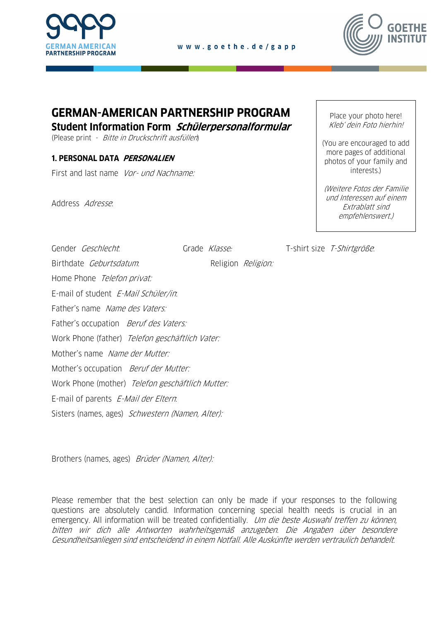



# **GERMAN-AMERICAN PARTNERSHIP PROGRAM**

**Student Information Form Schülerpersonalformular**

(Please print - Bitte in Druckschrift ausfüllen)

## **1. PERSONAL DATA PERSONALIEN**

First and last name Vor- und Nachname:

Address Adresse:

Place your photo here! Kleb' dein Foto hierhin!

(You are encouraged to add more pages of additional photos of your family and interests.)

(Weitere Fotos der Familie und Interessen auf einem Extrablatt sind empfehlenswert.)

Gender *Geschlecht*: Grade Klasse: T-shirt size T-Shirtgröße:

Birthdate *Geburtsdatum*: Religion *Religion:* Home Phone Telefon privat: E-mail of student E-Mail Schüler/in. Father's name Name des Vaters: Father's occupation *Beruf des Vaters:* Work Phone (father) Telefon geschäftlich Vater: Mother's name Name der Mutter: Mother's occupation *Beruf der Mutter:* Work Phone (mother) Telefon geschäftlich Mutter: E-mail of parents E-Mail der Eltern. Sisters (names, ages) Schwestern (Namen, Alter):

Brothers (names, ages) Brüder (Namen, Alter):

Please remember that the best selection can only be made if your responses to the following questions are absolutely candid. Information concerning special health needs is crucial in an emergency. All information will be treated confidentially. Um die beste Auswahl treffen zu können, bitten wir dich alle Antworten wahrheitsgemäß anzugeben. Die Angaben über besondere Gesundheitsanliegen sind entscheidend in einem Notfall. Alle Auskünfte werden vertraulich behandelt.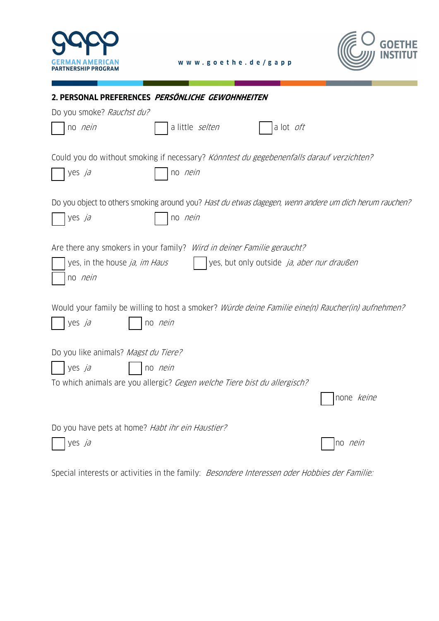



| 2. PERSONAL PREFERENCES PERSÖNLICHE GEWOHNHEITEN                                                      |                   |
|-------------------------------------------------------------------------------------------------------|-------------------|
| Do you smoke? Rauchst du?                                                                             |                   |
| a little selten<br>a lot oft<br>no <i>nein</i>                                                        |                   |
| Could you do without smoking if necessary? Könntest du gegebenenfalls darauf verzichten?              |                   |
| no <i>nein</i><br>yes ja                                                                              |                   |
| Do you object to others smoking around you? Hast du etwas dagegen, wenn andere um dich herum rauchen? |                   |
| no <i>nein</i><br>yes ja                                                                              |                   |
| Are there any smokers in your family? Wird in deiner Familie geraucht?                                |                   |
| yes, in the house ja, im Haus<br>yes, but only outside ja, aber nur draußen                           |                   |
| no <i>nein</i>                                                                                        |                   |
| Would your family be willing to host a smoker? Würde deine Familie eine(n) Raucher(in) aufnehmen?     |                   |
| yes ja<br>no <i>nein</i>                                                                              |                   |
| Do you like animals? Magst du Tiere?                                                                  |                   |
| yes ja<br>no <i>nein</i>                                                                              |                   |
| To which animals are you allergic? Gegen welche Tiere bist du allergisch?                             |                   |
|                                                                                                       | none <i>keine</i> |
| Do you have pets at home? Habt ihr ein Haustier?                                                      |                   |
| yes ja                                                                                                | no <i>nein</i>    |
|                                                                                                       |                   |

Special interests or activities in the family: Besondere Interessen oder Hobbies der Familie: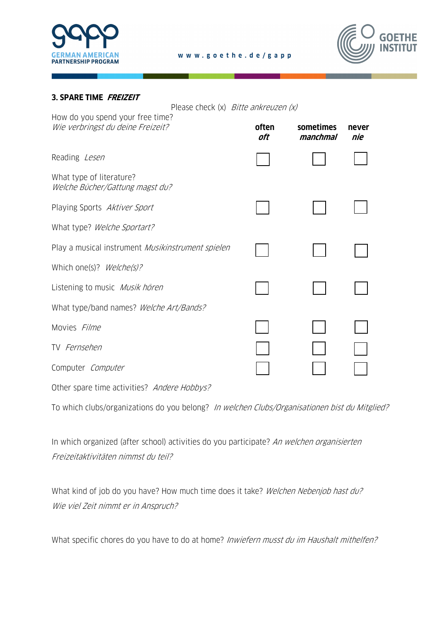



#### **3. SPARE TIME FREIZEIT**

Please check (x) Bitte ankreuzen (x)

| How do you spend your free time?<br>Wie verbringst du deine Freizeit? | often<br>oft | sometimes<br>manchmal | never<br>nie |
|-----------------------------------------------------------------------|--------------|-----------------------|--------------|
| Reading Lesen                                                         |              |                       |              |
| What type of literature?<br>Welche Bücher/Gattung magst du?           |              |                       |              |
| Playing Sports Aktiver Sport                                          |              |                       |              |
| What type? Welche Sportart?                                           |              |                       |              |
| Play a musical instrument Musikinstrument spielen                     |              |                       |              |
| Which one(s)? Welche(s)?                                              |              |                       |              |
| Listening to music <i>Musik hören</i>                                 |              |                       |              |
| What type/band names? Welche Art/Bands?                               |              |                       |              |
| Movies Filme                                                          |              |                       |              |
| TV Fernsehen                                                          |              |                       |              |
| Computer Computer                                                     |              |                       |              |
| Other spare time activities? Andere Hobbys?                           |              |                       |              |

To which clubs/organizations do you belong? In welchen Clubs/Organisationen bist du Mitglied?

In which organized (after school) activities do you participate? An welchen organisierten Freizeitaktivitäten nimmst du teil?

What kind of job do you have? How much time does it take? Welchen Nebenjob hast du? Wie viel Zeit nimmt er in Anspruch?

What specific chores do you have to do at home? Inwiefern musst du im Haushalt mithelfen?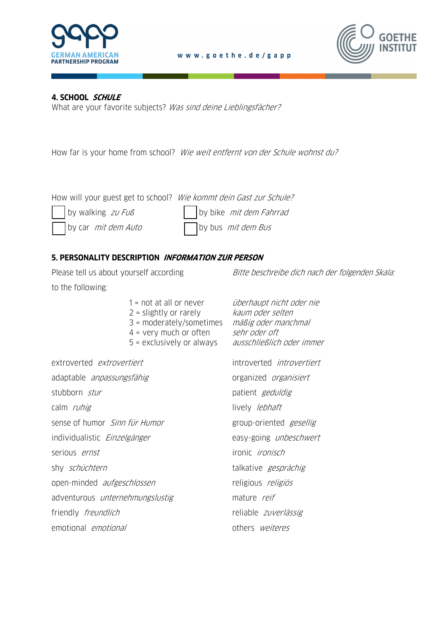



# **4. SCHOOL SCHULE**

What are your favorite subjects? Was sind deine Lieblingsfächer?

How far is your home from school? Wie weit entfernt von der Schule wohnst du?

How will your guest get to school? Wie kommt dein Gast zur Schule?

by walking  $zw$  Fuß  $\vert$  by bike *mit dem Fahrrad* by car *mit dem Auto*  $\Box$  by bus *mit dem Bus* 

www.goethe.de/gapp

# **5. PERSONALITY DESCRIPTION INFORMATION ZUR PERSON**

to the following:

Please tell us about yourself according Bitte beschreibe dich nach der folgenden Skala:

|                                        | $1 = not at all or never$<br>$2$ = slightly or rarely<br>$3 =$ moderately/sometimes<br>$4 = \text{very much or often}$<br>5 = exclusively or always | überhaupt nicht oder nie<br>kaum oder selten<br>mäßig oder manchmal<br>sehr oder oft<br>ausschließlich oder immer |
|----------------------------------------|-----------------------------------------------------------------------------------------------------------------------------------------------------|-------------------------------------------------------------------------------------------------------------------|
| extroverted <i>extrovertiert</i>       |                                                                                                                                                     | introverted <i>introvertiert</i>                                                                                  |
| adaptable <i>anpassungsfähig</i>       |                                                                                                                                                     | organized organisiert                                                                                             |
| stubborn <i>stur</i>                   |                                                                                                                                                     | patient geduldig                                                                                                  |
| calm <i>ruhig</i>                      |                                                                                                                                                     | lively <i>lebhaft</i>                                                                                             |
| sense of humor <i>Sinn für Humor</i>   |                                                                                                                                                     | group-oriented <i>gesellig</i>                                                                                    |
| individualistic <i>Einzelgänger</i>    |                                                                                                                                                     | easy-going <i>unbeschwert</i>                                                                                     |
| serious <i>ernst</i>                   |                                                                                                                                                     | ironic <i>ironisch</i>                                                                                            |
| shy <i>schüchtern</i>                  |                                                                                                                                                     | talkative gesprächig                                                                                              |
| open-minded <i>aufgeschlossen</i>      |                                                                                                                                                     | religious religiös                                                                                                |
| adventurous <i>unternehmungslustig</i> |                                                                                                                                                     | mature reif                                                                                                       |
| friendly <i>freundlich</i>             |                                                                                                                                                     | reliable zuverlässig                                                                                              |
| emotional <i>emotional</i>             |                                                                                                                                                     | others <i>weiteres</i>                                                                                            |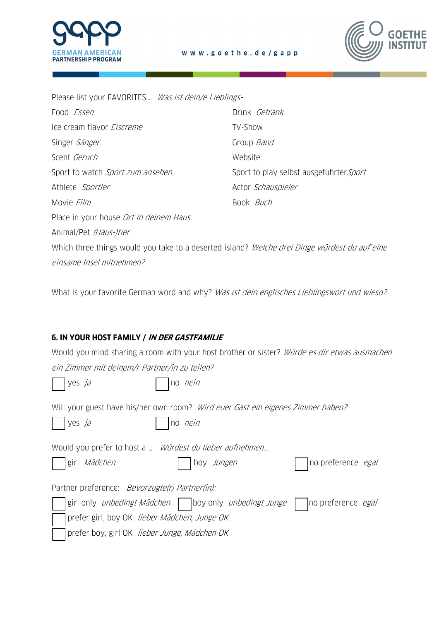

Please list your FAVORITES…. Was ist dein/e Lieblings-

| Food <i>Essen</i>                                                                             | Drink Getränk                           |
|-----------------------------------------------------------------------------------------------|-----------------------------------------|
| Ice cream flavor <i>Eiscreme</i>                                                              | TV-Show                                 |
| Singer Sänger                                                                                 | Group Band                              |
| Scent Geruch                                                                                  | Website                                 |
| Sport to watch Sport zum ansehen                                                              | Sport to play selbst ausgeführter Sport |
| Athlete Sportler                                                                              | Actor Schauspieler                      |
| Movie <i>Film</i>                                                                             | Book <i>Buch</i>                        |
| Place in your house Ort in deinem Haus                                                        |                                         |
| Animal/Pet (Haus-)tier                                                                        |                                         |
| Which three things would you take to a deserted island? Welche drei Dinge würdest du auf eine |                                         |

www.goethe.de/gapp

einsame Insel mitnehmen?

What is your favorite German word and why? Was ist dein englisches Lieblingswort und wieso?

# **6. IN YOUR HOST FAMILY / IN DER GASTFAMILIE**

|  | Would you mind sharing a room with your host brother or sister? <i>Würde es dir etwas ausmachen</i> |  |  |  |  |  |  |
|--|-----------------------------------------------------------------------------------------------------|--|--|--|--|--|--|
|  | ein Zimmer mit deinem/r Partner/in zu teilen?                                                       |  |  |  |  |  |  |

| yes ja                                                | no <i>nein</i>                                                                                    |                                                                                                                  |
|-------------------------------------------------------|---------------------------------------------------------------------------------------------------|------------------------------------------------------------------------------------------------------------------|
| yes ja                                                | Will your guest have his/her own room? Wird ever Gast ein eigenes Zimmer haben?<br>no <i>nein</i> |                                                                                                                  |
| girl Mädchen                                          | Would you prefer to host a  Würdest du lieber aufnehmen<br>boy Jungen                             | no preference <i>egal</i>                                                                                        |
| Partner preference: <i>Bevorzugte(r) Partner(in):</i> |                                                                                                   |                                                                                                                  |
|                                                       |                                                                                                   | girl only <i>unbedingt Mädchen</i>   $\vert$ boy only <i>unbedingt Junge</i>   $\vert$ no preference <i>egal</i> |
| prefer girl, boy OK lieber Mädchen, Junge OK          |                                                                                                   |                                                                                                                  |
| prefer boy, girl OK lieber Junge, Mädchen OK          |                                                                                                   |                                                                                                                  |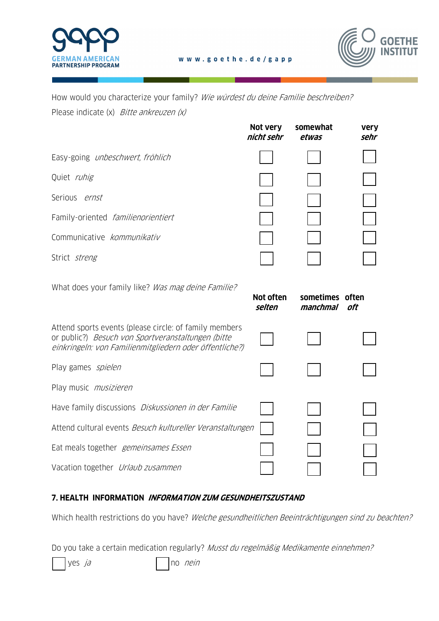



How would you characterize your family? Wie würdest du deine Familie beschreiben? Please indicate (x) Bitte ankreuzen (x)

|                                                                                                                                                                         | Not very<br>nicht sehr | somewhat<br>etwas           | <b>very</b><br>sehr |
|-------------------------------------------------------------------------------------------------------------------------------------------------------------------------|------------------------|-----------------------------|---------------------|
| Easy-going unbeschwert, fröhlich                                                                                                                                        |                        |                             |                     |
| Quiet ruhig                                                                                                                                                             |                        |                             |                     |
| Serious ernst                                                                                                                                                           |                        |                             |                     |
| Family-oriented familienorientiert                                                                                                                                      |                        |                             |                     |
| Communicative kommunikativ                                                                                                                                              |                        |                             |                     |
| Strict streng                                                                                                                                                           |                        |                             |                     |
| What does your family like? Was mag deine Familie?                                                                                                                      | Not often<br>selten    | sometimes often<br>manchmal | oft                 |
| Attend sports events (please circle: of family members<br>or public?) Besuch von Sportveranstaltungen (bitte<br>einkringeln: von Familienmitgliedern oder öffentliche?) |                        |                             |                     |
| Play games spielen                                                                                                                                                      |                        |                             |                     |
| Play music <i>musizieren</i>                                                                                                                                            |                        |                             |                     |
| Have family discussions Diskussionen in der Familie                                                                                                                     |                        |                             |                     |
| Attend cultural events Besuch kultureller Veranstaltungen                                                                                                               |                        |                             |                     |
| Eat meals together gemeinsames Essen                                                                                                                                    |                        |                             |                     |
| Vacation together Urlaub zusammen                                                                                                                                       |                        |                             |                     |

# **7. HEALTH INFORMATION INFORMATION ZUM GESUNDHEITSZUSTAND**

Which health restrictions do you have? Welche gesundheitlichen Beeinträchtigungen sind zu beachten?

Do you take a certain medication regularly? Musst du regelmäßig Medikamente einnehmen?